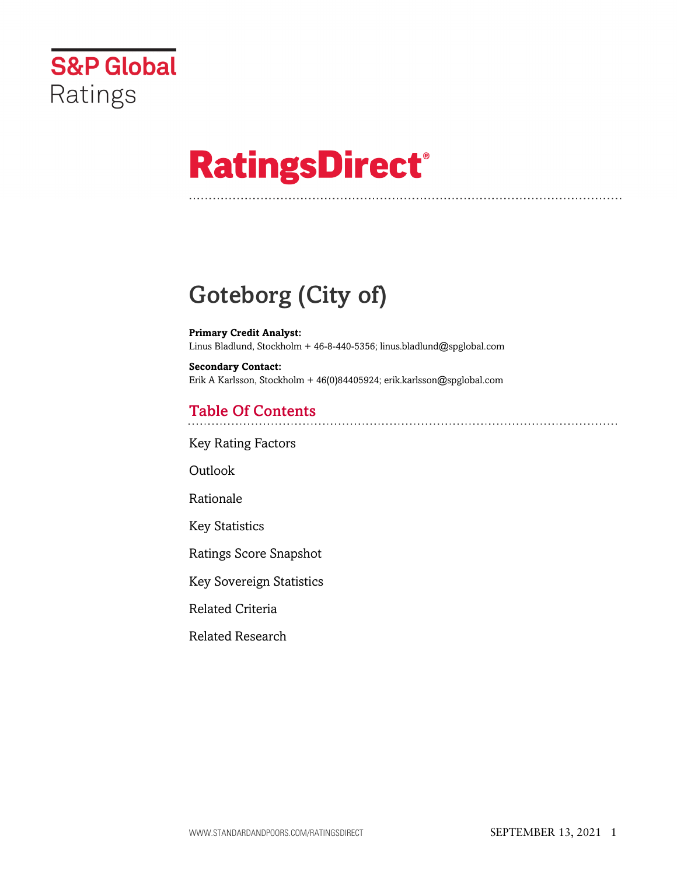

# **RatingsDirect®**

## Goteborg (City of)

**Primary Credit Analyst:** Linus Bladlund, Stockholm + 46-8-440-5356; linus.bladlund@spglobal.com

**Secondary Contact:** Erik A Karlsson, Stockholm + 46(0)84405924; erik.karlsson@spglobal.com

## Table Of Contents

[Key Rating Factors](#page-1-0)

[Outlook](#page-1-1)

[Rationale](#page-2-0)

[Key Statistics](#page-4-0)

[Ratings Score Snapshot](#page-4-1)

[Key Sovereign Statistics](#page-5-0)

[Related Criteria](#page-5-1)

[Related Research](#page-5-2)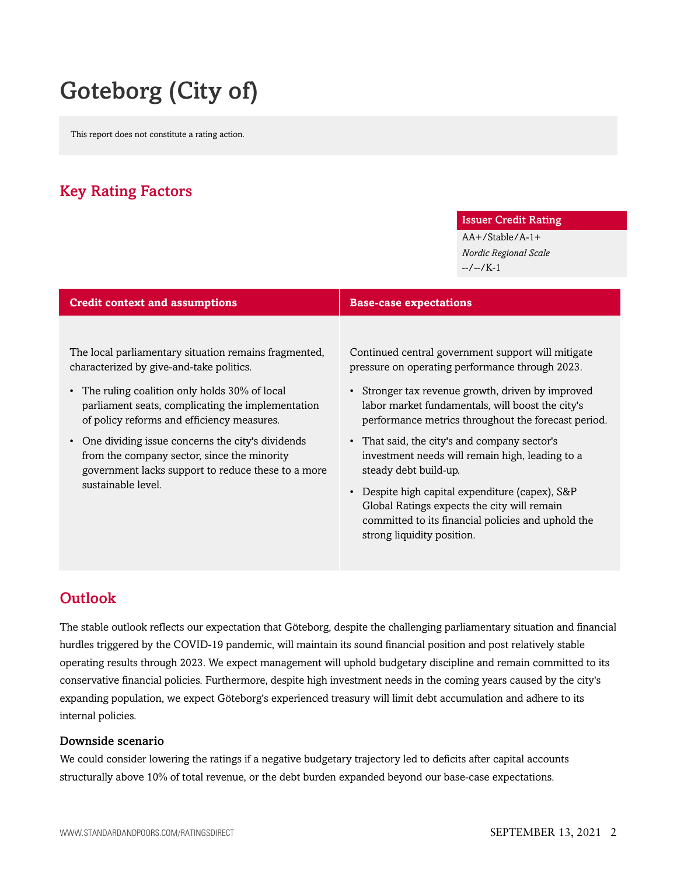## Goteborg (City of)

This report does not constitute a rating action.

## <span id="page-1-0"></span>Key Rating Factors

#### Issuer Credit Rating

AA+/Stable/A-1+ *Nordic Regional Scale* --/--/K-1

| <b>Credit context and assumptions</b>                                                                                                                                                                                                                  | <b>Base-case expectations</b>                                                                                                                                                                                                                                                                                  |  |
|--------------------------------------------------------------------------------------------------------------------------------------------------------------------------------------------------------------------------------------------------------|----------------------------------------------------------------------------------------------------------------------------------------------------------------------------------------------------------------------------------------------------------------------------------------------------------------|--|
| The local parliamentary situation remains fragmented,<br>characterized by give-and-take politics.<br>• The ruling coalition only holds 30% of local<br>parliament seats, complicating the implementation<br>of policy reforms and efficiency measures. | Continued central government support will mitigate<br>pressure on operating performance through 2023.<br>• Stronger tax revenue growth, driven by improved<br>labor market fundamentals, will boost the city's<br>performance metrics throughout the forecast period.                                          |  |
| One dividing issue concerns the city's dividends<br>from the company sector, since the minority<br>government lacks support to reduce these to a more<br>sustainable level.                                                                            | • That said, the city's and company sector's<br>investment needs will remain high, leading to a<br>steady debt build-up.<br>• Despite high capital expenditure (capex), S&P<br>Global Ratings expects the city will remain<br>committed to its financial policies and uphold the<br>strong liquidity position. |  |

## <span id="page-1-1"></span>Outlook

The stable outlook reflects our expectation that Göteborg, despite the challenging parliamentary situation and financial hurdles triggered by the COVID-19 pandemic, will maintain its sound financial position and post relatively stable operating results through 2023. We expect management will uphold budgetary discipline and remain committed to its conservative financial policies. Furthermore, despite high investment needs in the coming years caused by the city's expanding population, we expect Göteborg's experienced treasury will limit debt accumulation and adhere to its internal policies.

#### Downside scenario

We could consider lowering the ratings if a negative budgetary trajectory led to deficits after capital accounts structurally above 10% of total revenue, or the debt burden expanded beyond our base-case expectations.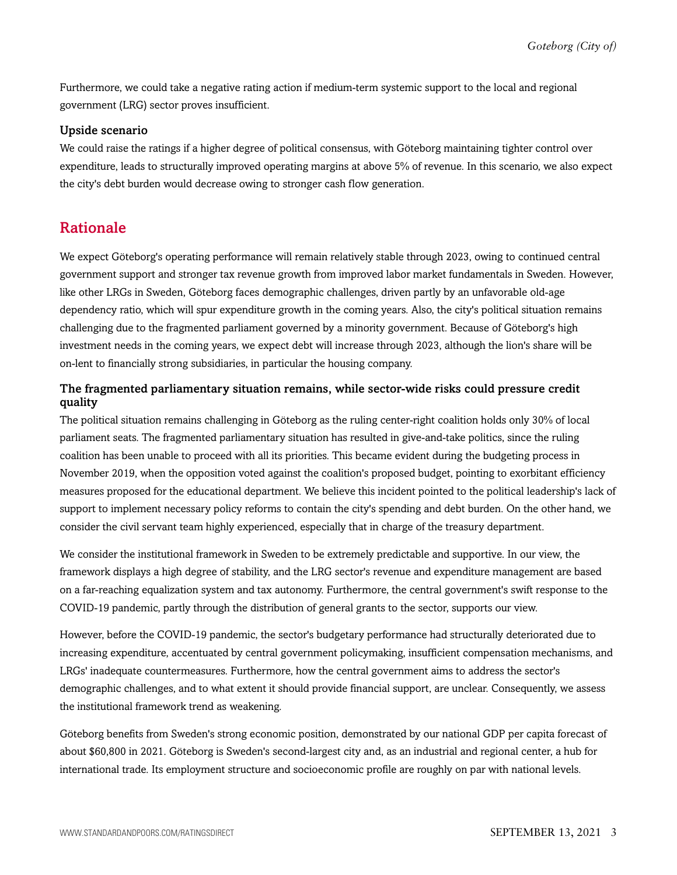Furthermore, we could take a negative rating action if medium-term systemic support to the local and regional government (LRG) sector proves insufficient.

#### Upside scenario

We could raise the ratings if a higher degree of political consensus, with Göteborg maintaining tighter control over expenditure, leads to structurally improved operating margins at above 5% of revenue. In this scenario, we also expect the city's debt burden would decrease owing to stronger cash flow generation.

### <span id="page-2-0"></span>Rationale

We expect Göteborg's operating performance will remain relatively stable through 2023, owing to continued central government support and stronger tax revenue growth from improved labor market fundamentals in Sweden. However, like other LRGs in Sweden, Göteborg faces demographic challenges, driven partly by an unfavorable old-age dependency ratio, which will spur expenditure growth in the coming years. Also, the city's political situation remains challenging due to the fragmented parliament governed by a minority government. Because of Göteborg's high investment needs in the coming years, we expect debt will increase through 2023, although the lion's share will be on-lent to financially strong subsidiaries, in particular the housing company.

#### The fragmented parliamentary situation remains, while sector-wide risks could pressure credit quality

The political situation remains challenging in Göteborg as the ruling center-right coalition holds only 30% of local parliament seats. The fragmented parliamentary situation has resulted in give-and-take politics, since the ruling coalition has been unable to proceed with all its priorities. This became evident during the budgeting process in November 2019, when the opposition voted against the coalition's proposed budget, pointing to exorbitant efficiency measures proposed for the educational department. We believe this incident pointed to the political leadership's lack of support to implement necessary policy reforms to contain the city's spending and debt burden. On the other hand, we consider the civil servant team highly experienced, especially that in charge of the treasury department.

We consider the institutional framework in Sweden to be extremely predictable and supportive. In our view, the framework displays a high degree of stability, and the LRG sector's revenue and expenditure management are based on a far-reaching equalization system and tax autonomy. Furthermore, the central government's swift response to the COVID-19 pandemic, partly through the distribution of general grants to the sector, supports our view.

However, before the COVID-19 pandemic, the sector's budgetary performance had structurally deteriorated due to increasing expenditure, accentuated by central government policymaking, insufficient compensation mechanisms, and LRGs' inadequate countermeasures. Furthermore, how the central government aims to address the sector's demographic challenges, and to what extent it should provide financial support, are unclear. Consequently, we assess the institutional framework trend as weakening.

Göteborg benefits from Sweden's strong economic position, demonstrated by our national GDP per capita forecast of about \$60,800 in 2021. Göteborg is Sweden's second-largest city and, as an industrial and regional center, a hub for international trade. Its employment structure and socioeconomic profile are roughly on par with national levels.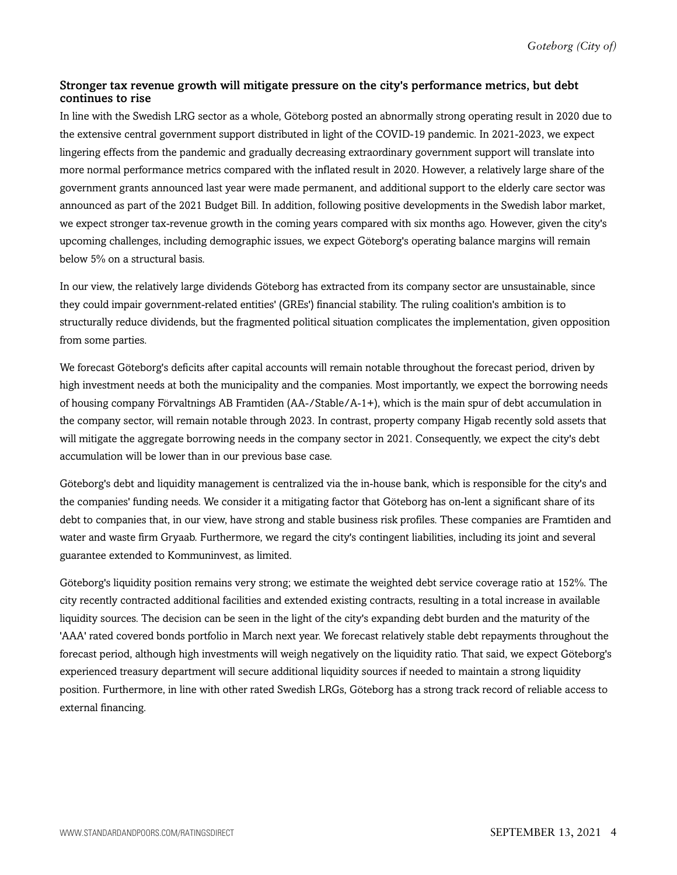#### Stronger tax revenue growth will mitigate pressure on the city's performance metrics, but debt continues to rise

In line with the Swedish LRG sector as a whole, Göteborg posted an abnormally strong operating result in 2020 due to the extensive central government support distributed in light of the COVID-19 pandemic. In 2021-2023, we expect lingering effects from the pandemic and gradually decreasing extraordinary government support will translate into more normal performance metrics compared with the inflated result in 2020. However, a relatively large share of the government grants announced last year were made permanent, and additional support to the elderly care sector was announced as part of the 2021 Budget Bill. In addition, following positive developments in the Swedish labor market, we expect stronger tax-revenue growth in the coming years compared with six months ago. However, given the city's upcoming challenges, including demographic issues, we expect Göteborg's operating balance margins will remain below 5% on a structural basis.

In our view, the relatively large dividends Göteborg has extracted from its company sector are unsustainable, since they could impair government-related entities' (GREs') financial stability. The ruling coalition's ambition is to structurally reduce dividends, but the fragmented political situation complicates the implementation, given opposition from some parties.

We forecast Göteborg's deficits after capital accounts will remain notable throughout the forecast period, driven by high investment needs at both the municipality and the companies. Most importantly, we expect the borrowing needs of housing company Förvaltnings AB Framtiden (AA-/Stable/A-1+), which is the main spur of debt accumulation in the company sector, will remain notable through 2023. In contrast, property company Higab recently sold assets that will mitigate the aggregate borrowing needs in the company sector in 2021. Consequently, we expect the city's debt accumulation will be lower than in our previous base case.

Göteborg's debt and liquidity management is centralized via the in-house bank, which is responsible for the city's and the companies' funding needs. We consider it a mitigating factor that Göteborg has on-lent a significant share of its debt to companies that, in our view, have strong and stable business risk profiles. These companies are Framtiden and water and waste firm Gryaab. Furthermore, we regard the city's contingent liabilities, including its joint and several guarantee extended to Kommuninvest, as limited.

Göteborg's liquidity position remains very strong; we estimate the weighted debt service coverage ratio at 152%. The city recently contracted additional facilities and extended existing contracts, resulting in a total increase in available liquidity sources. The decision can be seen in the light of the city's expanding debt burden and the maturity of the 'AAA' rated covered bonds portfolio in March next year. We forecast relatively stable debt repayments throughout the forecast period, although high investments will weigh negatively on the liquidity ratio. That said, we expect Göteborg's experienced treasury department will secure additional liquidity sources if needed to maintain a strong liquidity position. Furthermore, in line with other rated Swedish LRGs, Göteborg has a strong track record of reliable access to external financing.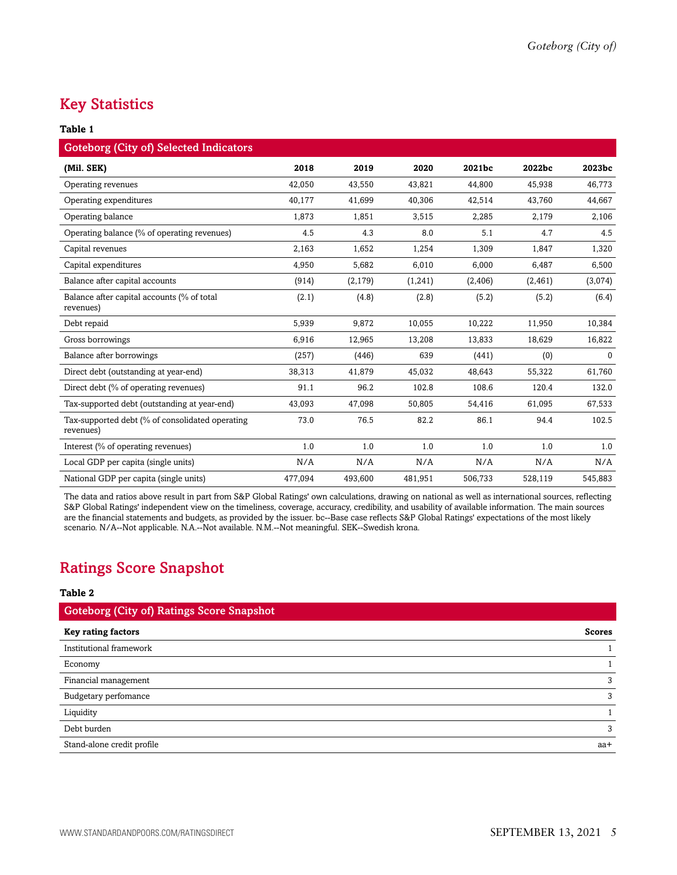## <span id="page-4-0"></span>Key Statistics

#### **Table 1**

| <b>Goteborg (City of) Selected Indicators</b>                |         |          |         |          |          |          |
|--------------------------------------------------------------|---------|----------|---------|----------|----------|----------|
| (Mil. SEK)                                                   | 2018    | 2019     | 2020    | 2021bc   | 2022bc   | 2023bc   |
| Operating revenues                                           | 42.050  | 43,550   | 43,821  | 44.800   | 45.938   | 46,773   |
| Operating expenditures                                       | 40,177  | 41,699   | 40,306  | 42,514   | 43,760   | 44,667   |
| Operating balance                                            | 1,873   | 1,851    | 3,515   | 2,285    | 2,179    | 2,106    |
| Operating balance (% of operating revenues)                  | 4.5     | 4.3      | 8.0     | 5.1      | 4.7      | 4.5      |
| Capital revenues                                             | 2,163   | 1,652    | 1,254   | 1,309    | 1,847    | 1,320    |
| Capital expenditures                                         | 4,950   | 5,682    | 6,010   | 6,000    | 6,487    | 6,500    |
| Balance after capital accounts                               | (914)   | (2, 179) | (1,241) | (2, 406) | (2, 461) | (3,074)  |
| Balance after capital accounts (% of total<br>revenues)      | (2.1)   | (4.8)    | (2.8)   | (5.2)    | (5.2)    | (6.4)    |
| Debt repaid                                                  | 5,939   | 9,872    | 10,055  | 10,222   | 11.950   | 10,384   |
| Gross borrowings                                             | 6,916   | 12,965   | 13,208  | 13,833   | 18,629   | 16,822   |
| Balance after borrowings                                     | (257)   | (446)    | 639     | (441)    | (0)      | $\Omega$ |
| Direct debt (outstanding at year-end)                        | 38,313  | 41,879   | 45,032  | 48,643   | 55,322   | 61,760   |
| Direct debt (% of operating revenues)                        | 91.1    | 96.2     | 102.8   | 108.6    | 120.4    | 132.0    |
| Tax-supported debt (outstanding at year-end)                 | 43,093  | 47,098   | 50,805  | 54,416   | 61,095   | 67,533   |
| Tax-supported debt (% of consolidated operating<br>revenues) | 73.0    | 76.5     | 82.2    | 86.1     | 94.4     | 102.5    |
| Interest (% of operating revenues)                           | 1.0     | 1.0      | 1.0     | 1.0      | 1.0      | 1.0      |
| Local GDP per capita (single units)                          | N/A     | N/A      | N/A     | N/A      | N/A      | N/A      |
| National GDP per capita (single units)                       | 477,094 | 493,600  | 481,951 | 506,733  | 528,119  | 545,883  |

The data and ratios above result in part from S&P Global Ratings' own calculations, drawing on national as well as international sources, reflecting S&P Global Ratings' independent view on the timeliness, coverage, accuracy, credibility, and usability of available information. The main sources are the financial statements and budgets, as provided by the issuer. bc--Base case reflects S&P Global Ratings' expectations of the most likely scenario. N/A--Not applicable. N.A.--Not available. N.M.--Not meaningful. SEK--Swedish krona.

## <span id="page-4-1"></span>Ratings Score Snapshot

#### **Table 2**

| <b>Goteborg (City of) Ratings Score Snapshot</b> |               |
|--------------------------------------------------|---------------|
| <b>Key rating factors</b>                        | <b>Scores</b> |
| Institutional framework                          |               |
| Economy                                          |               |
| Financial management                             | 3             |
| Budgetary perfomance                             | 3             |
| Liquidity                                        |               |
| Debt burden                                      | 3             |
| Stand-alone credit profile                       | aa+           |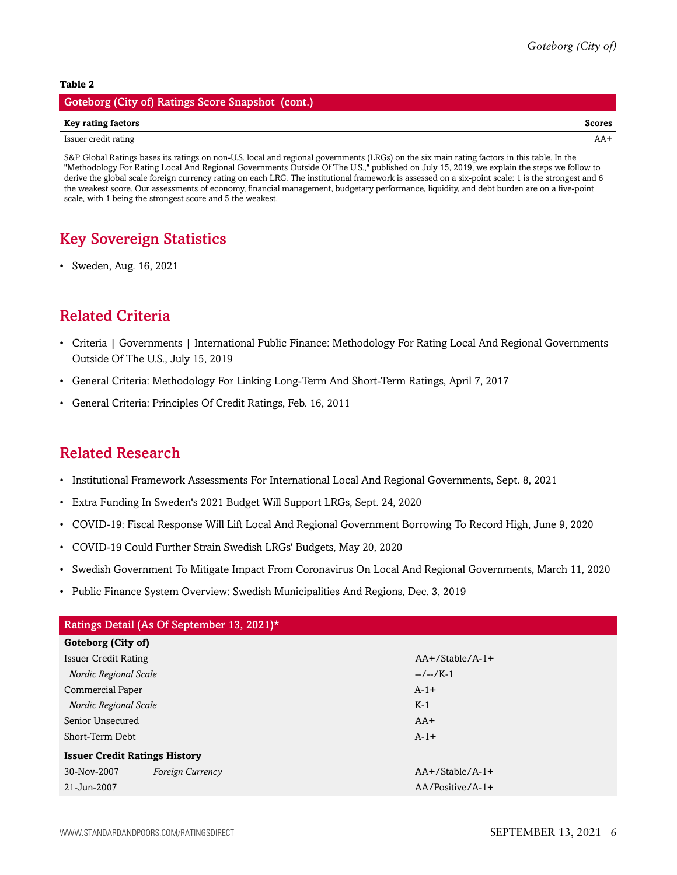#### **Table 2**

| Goteborg (City of) Ratings Score Snapshot (cont.) |        |
|---------------------------------------------------|--------|
| Key rating factors                                | Scores |
| Issuer credit rating                              | AA+    |

S&P Global Ratings bases its ratings on non-U.S. local and regional governments (LRGs) on the six main rating factors in this table. In the "Methodology For Rating Local And Regional Governments Outside Of The U.S.," published on July 15, 2019, we explain the steps we follow to derive the global scale foreign currency rating on each LRG. The institutional framework is assessed on a six-point scale: 1 is the strongest and 6 the weakest score. Our assessments of economy, financial management, budgetary performance, liquidity, and debt burden are on a five-point scale, with 1 being the strongest score and 5 the weakest.

## <span id="page-5-0"></span>Key Sovereign Statistics

• Sweden, Aug. 16, 2021

## <span id="page-5-1"></span>Related Criteria

- Criteria | Governments | International Public Finance: Methodology For Rating Local And Regional Governments Outside Of The U.S., July 15, 2019
- General Criteria: Methodology For Linking Long-Term And Short-Term Ratings, April 7, 2017
- General Criteria: Principles Of Credit Ratings, Feb. 16, 2011

### <span id="page-5-2"></span>Related Research

- Institutional Framework Assessments For International Local And Regional Governments, Sept. 8, 2021
- Extra Funding In Sweden's 2021 Budget Will Support LRGs, Sept. 24, 2020
- COVID-19: Fiscal Response Will Lift Local And Regional Government Borrowing To Record High, June 9, 2020
- COVID-19 Could Further Strain Swedish LRGs' Budgets, May 20, 2020
- Swedish Government To Mitigate Impact From Coronavirus On Local And Regional Governments, March 11, 2020
- Public Finance System Overview: Swedish Municipalities And Regions, Dec. 3, 2019

| Ratings Detail (As Of September 13, 2021)* |                    |  |  |  |
|--------------------------------------------|--------------------|--|--|--|
| Goteborg (City of)                         |                    |  |  |  |
| Issuer Credit Rating                       | $AA+$ /Stable/A-1+ |  |  |  |
| Nordic Regional Scale                      | $-/-/K-1$          |  |  |  |
| Commercial Paper                           | $A-1+$             |  |  |  |
| Nordic Regional Scale                      | $K-1$              |  |  |  |
| Senior Unsecured                           | $AA+$              |  |  |  |
| Short-Term Debt                            | $A-1+$             |  |  |  |
| <b>Issuer Credit Ratings History</b>       |                    |  |  |  |
| 30-Nov-2007<br>Foreign Currency            | $AA+$ /Stable/A-1+ |  |  |  |
| 21-Jun-2007                                | $AA/Positive/A-1+$ |  |  |  |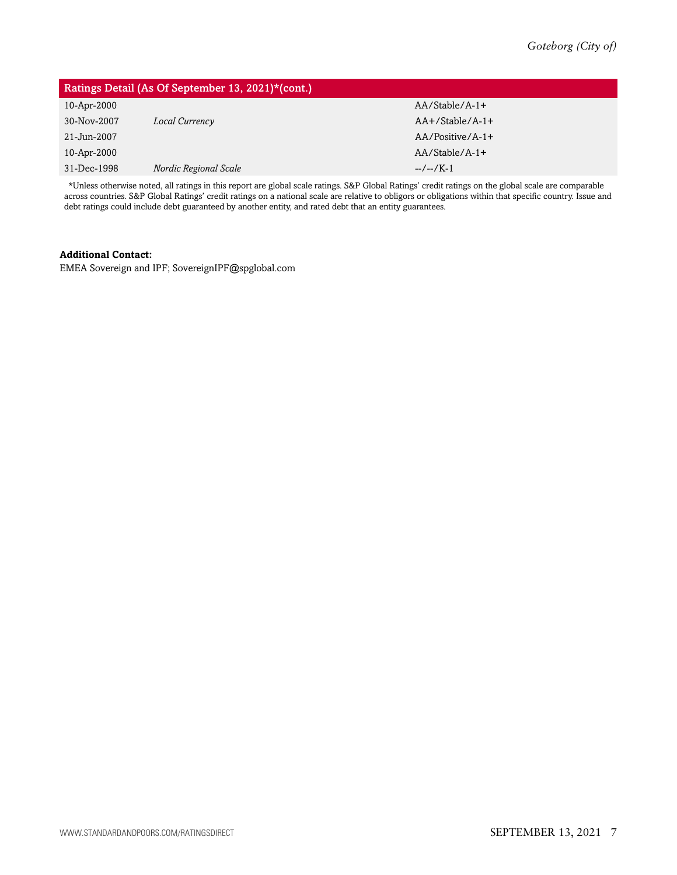| Ratings Detail (As Of September 13, 2021)*(cont.) |                       |                    |  |  |
|---------------------------------------------------|-----------------------|--------------------|--|--|
| 10-Apr-2000                                       |                       | $AA/Stable/A-1+$   |  |  |
| 30-Nov-2007                                       | Local Currency        | $AA+/Stable/A-1+$  |  |  |
| 21-Jun-2007                                       |                       | $AA/Positive/A-1+$ |  |  |
| 10-Apr-2000                                       |                       | $AA/Stable/A-1+$   |  |  |
| 31-Dec-1998                                       | Nordic Regional Scale | $-/-1$             |  |  |

\*Unless otherwise noted, all ratings in this report are global scale ratings. S&P Global Ratings' credit ratings on the global scale are comparable across countries. S&P Global Ratings' credit ratings on a national scale are relative to obligors or obligations within that specific country. Issue and debt ratings could include debt guaranteed by another entity, and rated debt that an entity guarantees.

#### **Additional Contact:**

EMEA Sovereign and IPF; SovereignIPF@spglobal.com